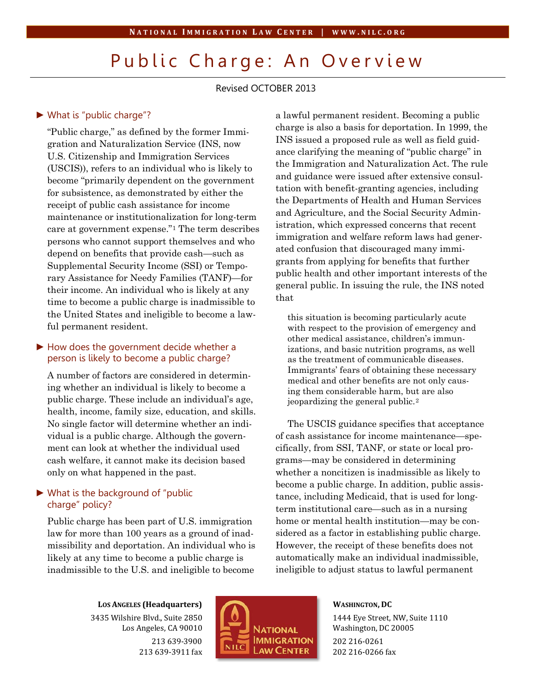# Public Charge: An Overview

Revised OCTOBER 2013

#### ► What is "public charge"?

"Public charge," as defined by the former Immigration and Naturalization Service (INS, now U.S. Citizenship and Immigration Services (USCIS)), refers to an individual who is likely to become "primarily dependent on the government for subsistence, as demonstrated by either the receipt of public cash assistance for income maintenance or institutionalization for long-term care at government expense."[1](#page-1-0) The term describes persons who cannot support themselves and who depend on benefits that provide cash—such as Supplemental Security Income (SSI) or Temporary Assistance for Needy Families (TANF)—for their income. An individual who is likely at any time to become a public charge is inadmissible to the United States and ineligible to become a lawful permanent resident.

### ► How does the government decide whether a person is likely to become a public charge?

A number of factors are considered in determining whether an individual is likely to become a public charge. These include an individual's age, health, income, family size, education, and skills. No single factor will determine whether an individual is a public charge. Although the government can look at whether the individual used cash welfare, it cannot make its decision based only on what happened in the past.

# ► What is the background of "public charge" policy?

Public charge has been part of U.S. immigration law for more than 100 years as a ground of inadmissibility and deportation. An individual who is likely at any time to become a public charge is inadmissible to the U.S. and ineligible to become

a lawful permanent resident. Becoming a public charge is also a basis for deportation. In 1999, the INS issued a proposed rule as well as field guidance clarifying the meaning of "public charge" in the Immigration and Naturalization Act. The rule and guidance were issued after extensive consultation with benefit-granting agencies, including the Departments of Health and Human Services and Agriculture, and the Social Security Administration, which expressed concerns that recent immigration and welfare reform laws had generated confusion that discouraged many immigrants from applying for benefits that further public health and other important interests of the general public. In issuing the rule, the INS noted that

this situation is becoming particularly acute with respect to the provision of emergency and other medical assistance, children's immunizations, and basic nutrition programs, as well as the treatment of communicable diseases. Immigrants' fears of obtaining these necessary medical and other benefits are not only causing them considerable harm, but are also jeopardizing the general public.[2](#page-1-1)

The USCIS guidance specifies that acceptance of cash assistance for income maintenance—specifically, from SSI, TANF, or state or local programs—may be considered in determining whether a noncitizen is inadmissible as likely to become a public charge. In addition, public assistance, including Medicaid, that is used for longterm institutional care—such as in a nursing home or mental health institution—may be considered as a factor in establishing public charge. However, the receipt of these benefits does not automatically make an individual inadmissible, ineligible to adjust status to lawful permanent

**LOS ANGELES (Headquarters)** 3435 Wilshire Blvd., Suite 2850 Los Angeles, CA 90010 213 639-3900 213 639-3911 fax



**WASHINGTON, DC** 1444 Eye Street, NW, Suite 1110 Washington, DC 20005 202 216-0261 202 216-0266 fax